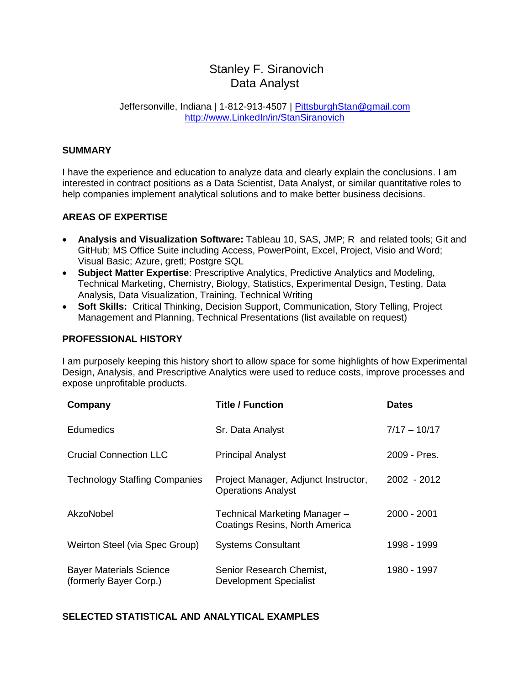# Stanley F. Siranovich Data Analyst

#### Jeffersonville, Indiana | 1-812-913-4507 | [PittsburghStan@gmail.com](mailto:PittsburghStan@gmail.com) [http://www.LinkedIn/in/StanSiranovich](http://www.linkedin/in/StanSiranovich)

## **SUMMARY**

I have the experience and education to analyze data and clearly explain the conclusions. I am interested in contract positions as a Data Scientist, Data Analyst, or similar quantitative roles to help companies implement analytical solutions and to make better business decisions.

### **AREAS OF EXPERTISE**

- **Analysis and Visualization Software:** Tableau 10, SAS, JMP; R and related tools; Git and GitHub; MS Office Suite including Access, PowerPoint, Excel, Project, Visio and Word; Visual Basic; Azure, gretl; Postgre SQL
- **Subject Matter Expertise**: Prescriptive Analytics, Predictive Analytics and Modeling, Technical Marketing, Chemistry, Biology, Statistics, Experimental Design, Testing, Data Analysis, Data Visualization, Training, Technical Writing
- **Soft Skills:** Critical Thinking, Decision Support, Communication, Story Telling, Project Management and Planning, Technical Presentations (list available on request)

### **PROFESSIONAL HISTORY**

I am purposely keeping this history short to allow space for some highlights of how Experimental Design, Analysis, and Prescriptive Analytics were used to reduce costs, improve processes and expose unprofitable products.

| Company                                                  | <b>Title / Function</b>                                           | <b>Dates</b>   |
|----------------------------------------------------------|-------------------------------------------------------------------|----------------|
| <b>Edumedics</b>                                         | Sr. Data Analyst                                                  | $7/17 - 10/17$ |
| <b>Crucial Connection LLC</b>                            | <b>Principal Analyst</b>                                          | 2009 - Pres.   |
| <b>Technology Staffing Companies</b>                     | Project Manager, Adjunct Instructor,<br><b>Operations Analyst</b> | 2002 - 2012    |
| AkzoNobel                                                | Technical Marketing Manager -<br>Coatings Resins, North America   | 2000 - 2001    |
| Weirton Steel (via Spec Group)                           | <b>Systems Consultant</b>                                         | 1998 - 1999    |
| <b>Bayer Materials Science</b><br>(formerly Bayer Corp.) | Senior Research Chemist,<br><b>Development Specialist</b>         | 1980 - 1997    |

#### **SELECTED STATISTICAL AND ANALYTICAL EXAMPLES**